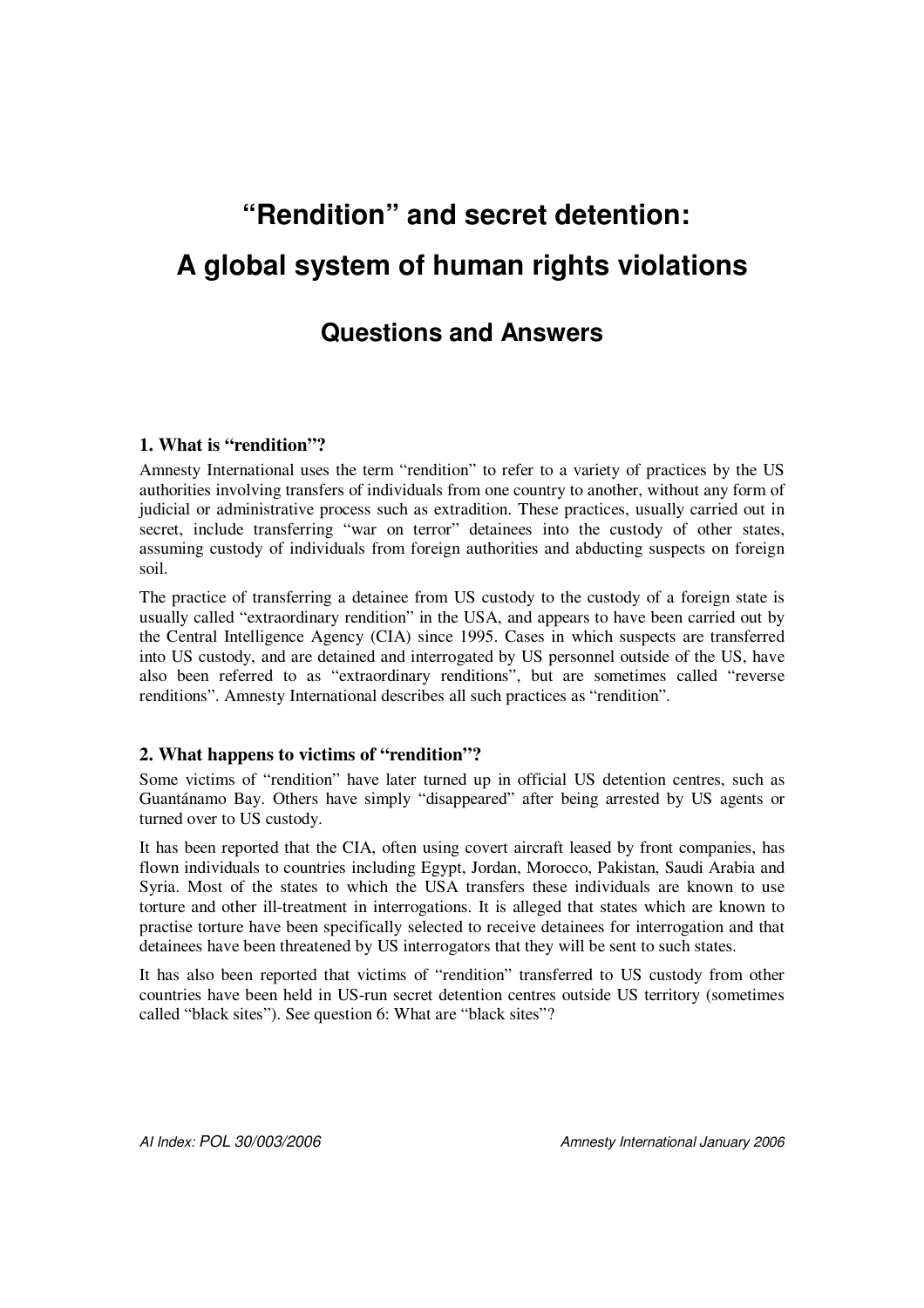# **"Rendition" and secret detention: A global system of human rights violations**

# **Questions and Answers**

# **1. What is "rendition"?**

Amnesty International uses the term "rendition" to refer to a variety of practices by the US authorities involving transfers of individuals from one country to another, without any form of judicial or administrative process such as extradition. These practices, usually carried out in secret, include transferring "war on terror" detainees into the custody of other states, assuming custody of individuals from foreign authorities and abducting suspects on foreign soil.

The practice of transferring a detainee from US custody to the custody of a foreign state is usually called "extraordinary rendition" in the USA, and appears to have been carried out by the Central Intelligence Agency (CIA) since 1995. Cases in which suspects are transferred into US custody, and are detained and interrogated by US personnel outside of the US, have also been referred to as "extraordinary renditions", but are sometimes called "reverse renditions". Amnesty International describes all such practices as "rendition".

# **2. What happens to victims of "rendition"?**

Some victims of "rendition" have later turned up in official US detention centres, such as Guantánamo Bay. Others have simply "disappeared" after being arrested by US agents or turned over to US custody.

It has been reported that the CIA, often using covert aircraft leased by front companies, has flown individuals to countries including Egypt, Jordan, Morocco, Pakistan, Saudi Arabia and Syria. Most of the states to which the USA transfers these individuals are known to use torture and other ill-treatment in interrogations. It is alleged that states which are known to practise torture have been specifically selected to receive detainees for interrogation and that detainees have been threatened by US interrogators that they will be sent to such states.

It has also been reported that victims of "rendition" transferred to US custody from other countries have been held in US-run secret detention centres outside US territory (sometimes called "black sites"). See question 6: What are "black sites"?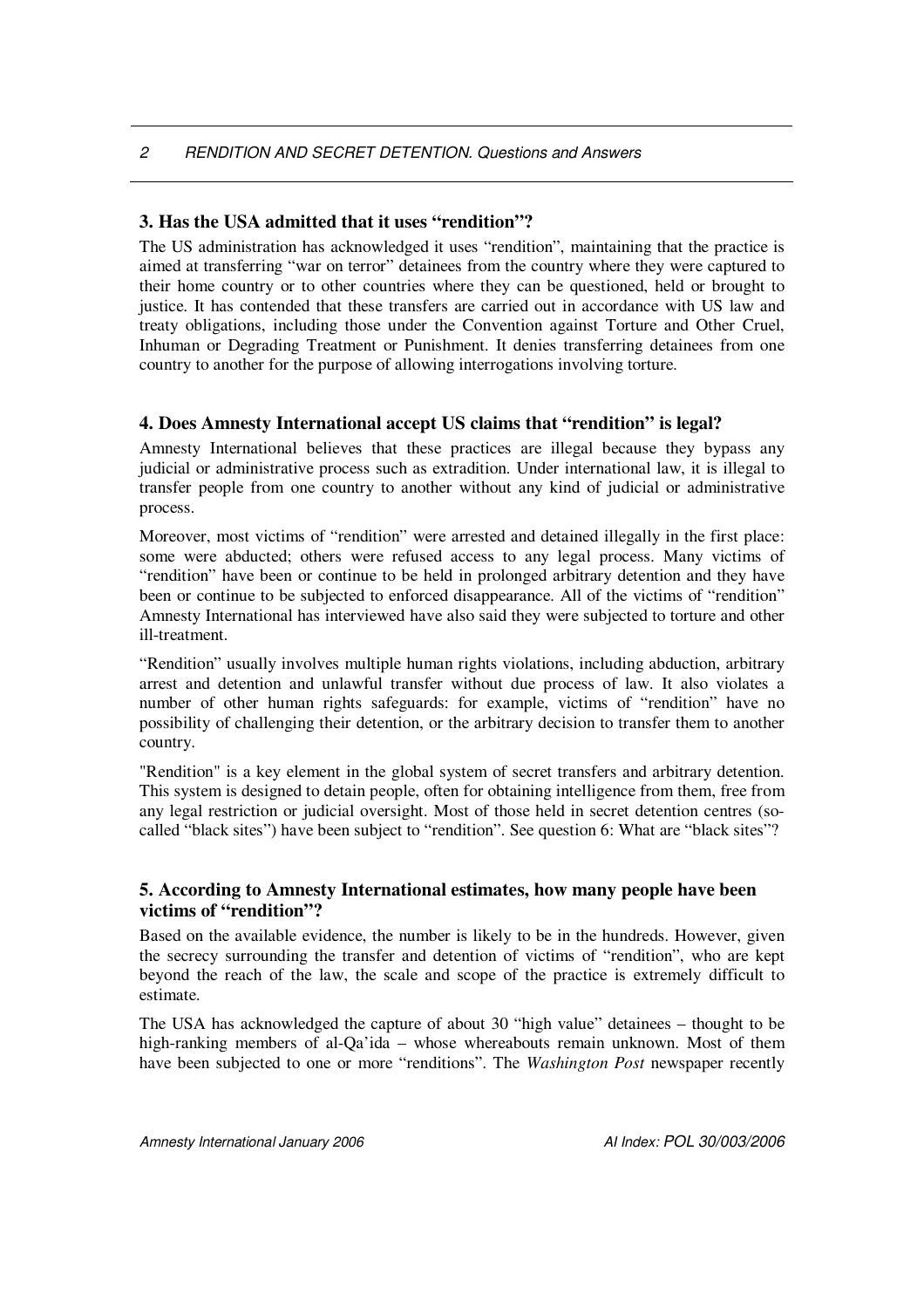#### **3. Has the USA admitted that it uses "rendition"?**

The US administration has acknowledged it uses "rendition", maintaining that the practice is aimed at transferring "war on terror" detainees from the country where they were captured to their home country or to other countries where they can be questioned, held or brought to justice. It has contended that these transfers are carried out in accordance with US law and treaty obligations, including those under the Convention against Torture and Other Cruel, Inhuman or Degrading Treatment or Punishment. It denies transferring detainees from one country to another for the purpose of allowing interrogations involving torture.

#### **4. Does Amnesty International accept US claims that "rendition" is legal?**

Amnesty International believes that these practices are illegal because they bypass any judicial or administrative process such as extradition. Under international law, it is illegal to transfer people from one country to another without any kind of judicial or administrative process.

Moreover, most victims of "rendition" were arrested and detained illegally in the first place: some were abducted; others were refused access to any legal process. Many victims of "rendition" have been or continue to be held in prolonged arbitrary detention and they have been or continue to be subjected to enforced disappearance. All of the victims of "rendition" Amnesty International has interviewed have also said they were subjected to torture and other ill-treatment.

"Rendition" usually involves multiple human rights violations, including abduction, arbitrary arrest and detention and unlawful transfer without due process of law. It also violates a number of other human rights safeguards: for example, victims of "rendition" have no possibility of challenging their detention, or the arbitrary decision to transfer them to another country.

"Rendition" is a key element in the global system of secret transfers and arbitrary detention. This system is designed to detain people, often for obtaining intelligence from them, free from any legal restriction or judicial oversight. Most of those held in secret detention centres (socalled "black sites") have been subject to "rendition". See question 6: What are "black sites"?

#### **5. According to Amnesty International estimates, how many people have been victims of "rendition"?**

Based on the available evidence, the number is likely to be in the hundreds. However, given the secrecy surrounding the transfer and detention of victims of "rendition", who are kept beyond the reach of the law, the scale and scope of the practice is extremely difficult to estimate.

The USA has acknowledged the capture of about 30 "high value" detainees – thought to be high-ranking members of al-Qa'ida – whose whereabouts remain unknown. Most of them have been subjected to one or more "renditions". The *Washington Post* newspaper recently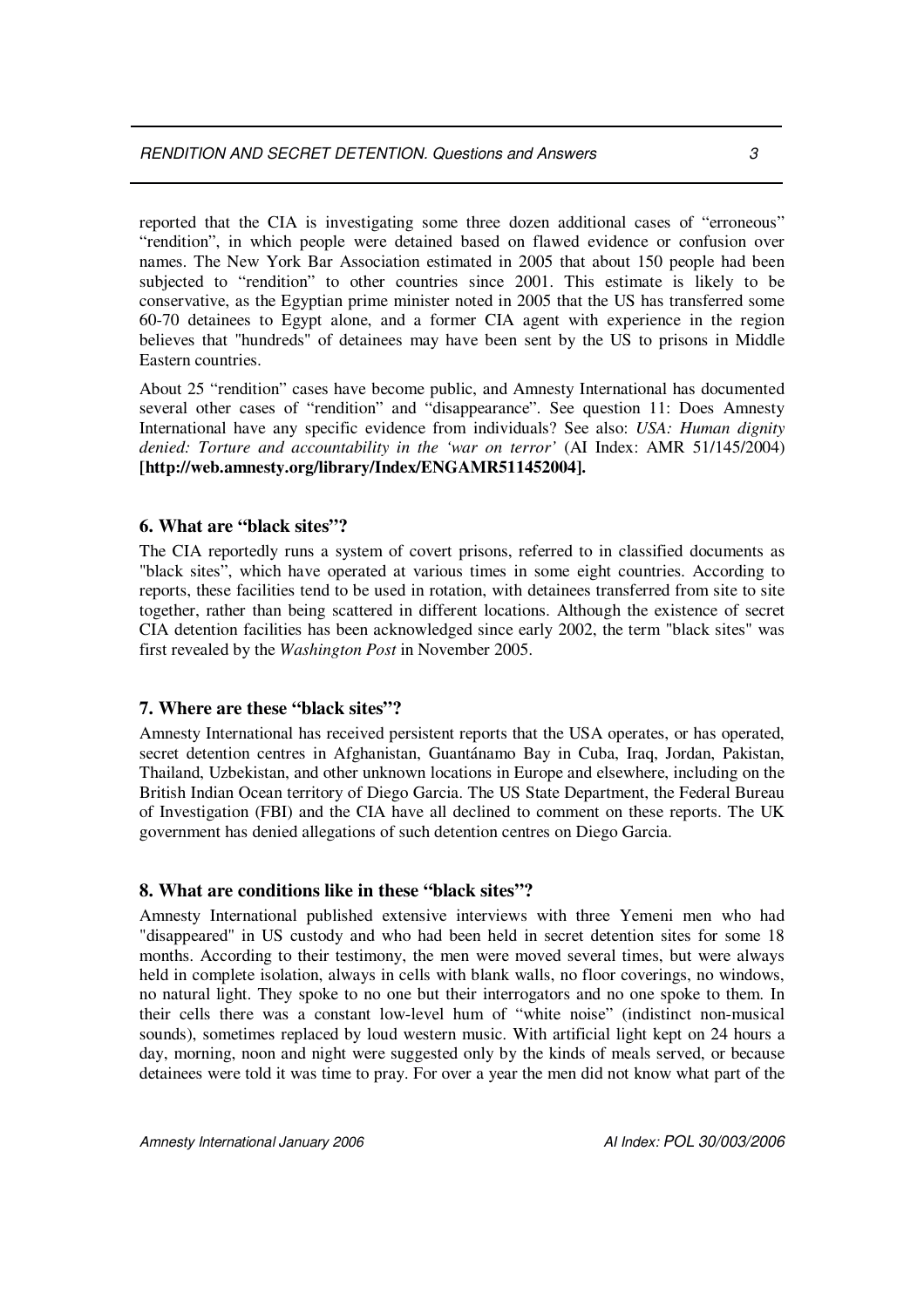reported that the CIA is investigating some three dozen additional cases of "erroneous" "rendition", in which people were detained based on flawed evidence or confusion over names. The New York Bar Association estimated in 2005 that about 150 people had been subjected to "rendition" to other countries since 2001. This estimate is likely to be conservative, as the Egyptian prime minister noted in 2005 that the US has transferred some 60-70 detainees to Egypt alone, and a former CIA agent with experience in the region believes that "hundreds" of detainees may have been sent by the US to prisons in Middle Eastern countries.

About 25 "rendition" cases have become public, and Amnesty International has documented several other cases of "rendition" and "disappearance". See question 11: Does Amnesty International have any specific evidence from individuals? See also: *USA: Human dignity denied: Torture and accountability in the 'war on terror'* (AI Index: AMR 51/145/2004) **[http://web.amnesty.org/library/Index/ENGAMR511452004].**

#### **6. What are "black sites"?**

The CIA reportedly runs a system of covert prisons, referred to in classified documents as "black sites", which have operated at various times in some eight countries. According to reports, these facilities tend to be used in rotation, with detainees transferred from site to site together, rather than being scattered in different locations. Although the existence of secret CIA detention facilities has been acknowledged since early 2002, the term "black sites" was first revealed by the *Washington Post* in November 2005.

#### **7. Where are these "black sites"?**

Amnesty International has received persistent reports that the USA operates, or has operated, secret detention centres in Afghanistan, Guantánamo Bay in Cuba, Iraq, Jordan, Pakistan, Thailand, Uzbekistan, and other unknown locations in Europe and elsewhere, including on the British Indian Ocean territory of Diego Garcia. The US State Department, the Federal Bureau of Investigation (FBI) and the CIA have all declined to comment on these reports. The UK government has denied allegations of such detention centres on Diego Garcia.

#### **8. What are conditions like in these "black sites"?**

Amnesty International published extensive interviews with three Yemeni men who had "disappeared" in US custody and who had been held in secret detention sites for some 18 months. According to their testimony, the men were moved several times, but were always held in complete isolation, always in cells with blank walls, no floor coverings, no windows, no natural light. They spoke to no one but their interrogators and no one spoke to them. In their cells there was a constant low-level hum of "white noise" (indistinct non-musical sounds), sometimes replaced by loud western music. With artificial light kept on 24 hours a day, morning, noon and night were suggested only by the kinds of meals served, or because detainees were told it was time to pray. For over a year the men did not know what part of the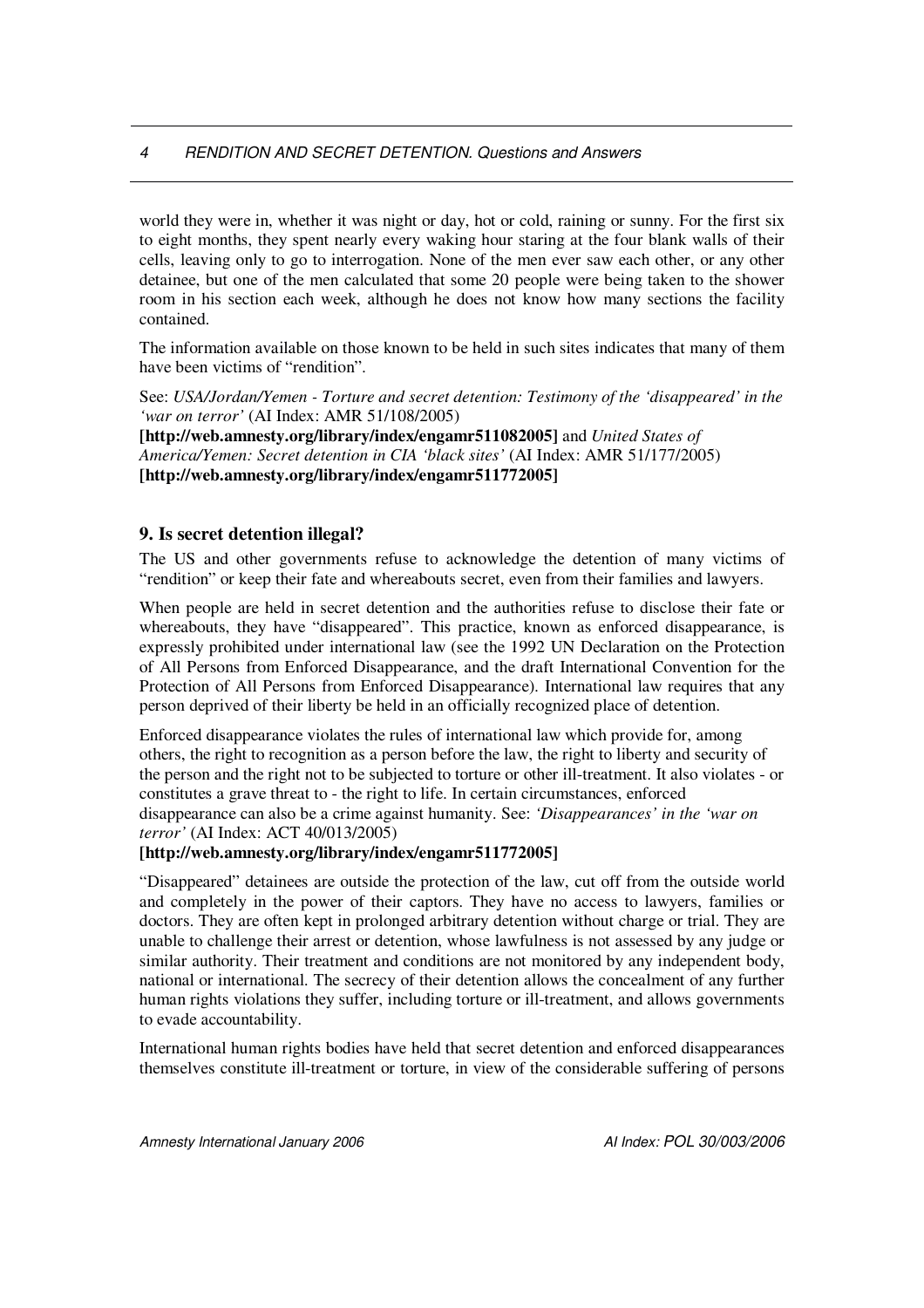world they were in, whether it was night or day, hot or cold, raining or sunny. For the first six to eight months, they spent nearly every waking hour staring at the four blank walls of their cells, leaving only to go to interrogation. None of the men ever saw each other, or any other detainee, but one of the men calculated that some 20 people were being taken to the shower room in his section each week, although he does not know how many sections the facility contained.

The information available on those known to be held in such sites indicates that many of them have been victims of "rendition".

See: *USA/Jordan/Yemen - Torture and secret detention: Testimony of the 'disappeared' in the 'war on terror'* (AI Index: AMR 51/108/2005)

**[http://web.amnesty.org/library/index/engamr511082005]** and *United States of America/Yemen: Secret detention in CIA 'black sites'* (AI Index: AMR 51/177/2005) **[http://web.amnesty.org/library/index/engamr511772005]**

#### **9. Is secret detention illegal?**

The US and other governments refuse to acknowledge the detention of many victims of "rendition" or keep their fate and whereabouts secret, even from their families and lawyers.

When people are held in secret detention and the authorities refuse to disclose their fate or whereabouts, they have "disappeared". This practice, known as enforced disappearance, is expressly prohibited under international law (see the 1992 UN Declaration on the Protection of All Persons from Enforced Disappearance, and the draft International Convention for the Protection of All Persons from Enforced Disappearance). International law requires that any person deprived of their liberty be held in an officially recognized place of detention.

Enforced disappearance violates the rules of international law which provide for, among others, the right to recognition as a person before the law, the right to liberty and security of the person and the right not to be subjected to torture or other ill-treatment. It also violates - or constitutes a grave threat to - the right to life. In certain circumstances, enforced disappearance can also be a crime against humanity. See: *'Disappearances' in the 'war on terror'* (AI Index: ACT 40/013/2005)

#### **[http://web.amnesty.org/library/index/engamr511772005]**

"Disappeared" detainees are outside the protection of the law, cut off from the outside world and completely in the power of their captors. They have no access to lawyers, families or doctors. They are often kept in prolonged arbitrary detention without charge or trial. They are unable to challenge their arrest or detention, whose lawfulness is not assessed by any judge or similar authority. Their treatment and conditions are not monitored by any independent body, national or international. The secrecy of their detention allows the concealment of any further human rights violations they suffer, including torture or ill-treatment, and allows governments to evade accountability.

International human rights bodies have held that secret detention and enforced disappearances themselves constitute ill-treatment or torture, in view of the considerable suffering of persons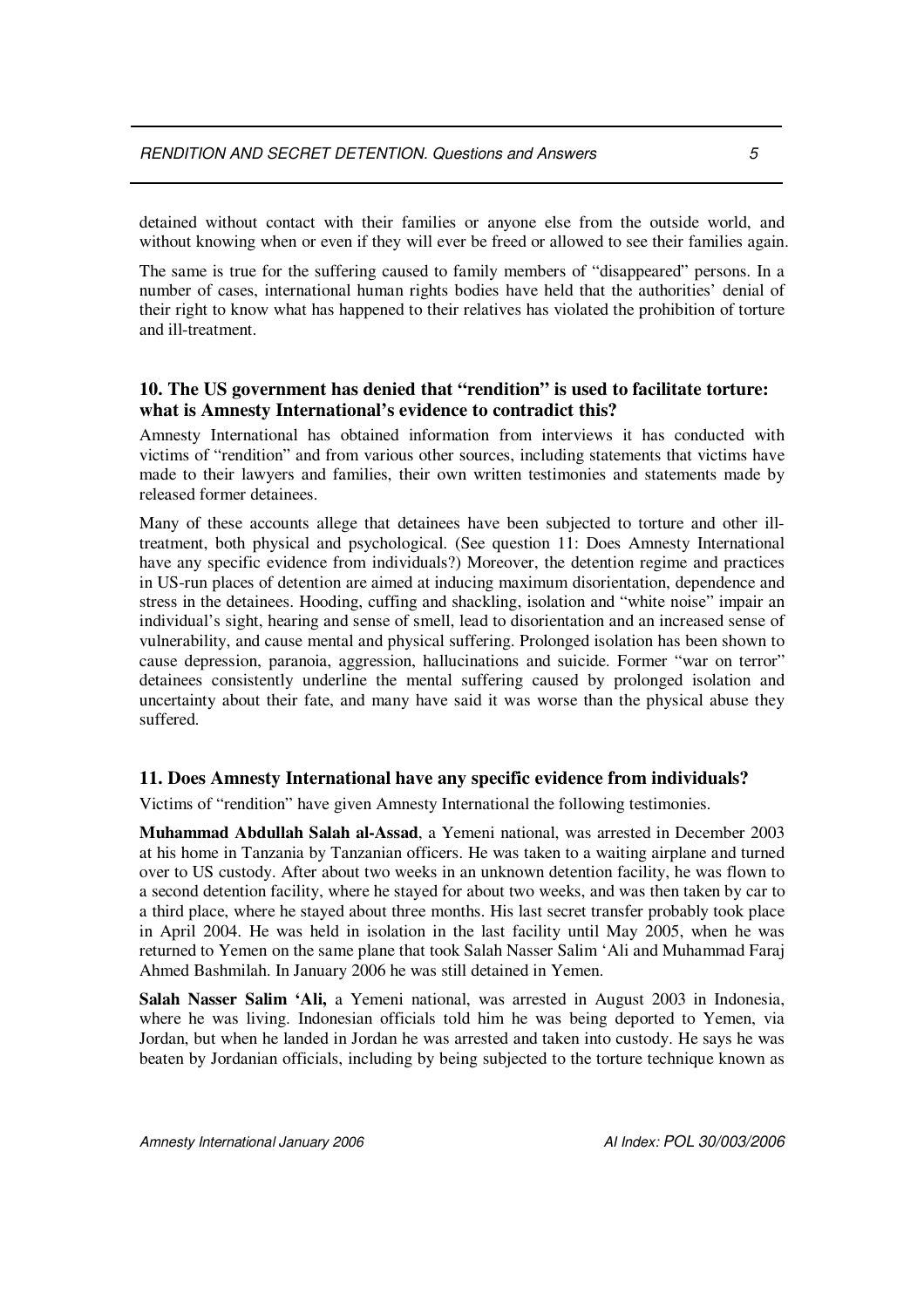detained without contact with their families or anyone else from the outside world, and without knowing when or even if they will ever be freed or allowed to see their families again.

The same is true for the suffering caused to family members of "disappeared" persons. In a number of cases, international human rights bodies have held that the authorities' denial of their right to know what has happened to their relatives has violated the prohibition of torture and ill-treatment.

#### **10. The US government has denied that "rendition" is used to facilitate torture: what is Amnesty International's evidence to contradict this?**

Amnesty International has obtained information from interviews it has conducted with victims of "rendition" and from various other sources, including statements that victims have made to their lawyers and families, their own written testimonies and statements made by released former detainees.

Many of these accounts allege that detainees have been subjected to torture and other illtreatment, both physical and psychological. (See question 11: Does Amnesty International have any specific evidence from individuals?) Moreover, the detention regime and practices in US-run places of detention are aimed at inducing maximum disorientation, dependence and stress in the detainees. Hooding, cuffing and shackling, isolation and "white noise" impair an individual's sight, hearing and sense of smell, lead to disorientation and an increased sense of vulnerability, and cause mental and physical suffering. Prolonged isolation has been shown to cause depression, paranoia, aggression, hallucinations and suicide. Former "war on terror" detainees consistently underline the mental suffering caused by prolonged isolation and uncertainty about their fate, and many have said it was worse than the physical abuse they suffered.

#### **11. Does Amnesty International have any specific evidence from individuals?**

Victims of "rendition" have given Amnesty International the following testimonies.

**Muhammad Abdullah Salah al-Assad**, a Yemeni national, was arrested in December 2003 at his home in Tanzania by Tanzanian officers. He was taken to a waiting airplane and turned over to US custody. After about two weeks in an unknown detention facility, he was flown to a second detention facility, where he stayed for about two weeks, and was then taken by car to a third place, where he stayed about three months. His last secret transfer probably took place in April 2004. He was held in isolation in the last facility until May 2005, when he was returned to Yemen on the same plane that took Salah Nasser Salim 'Ali and Muhammad Faraj Ahmed Bashmilah. In January 2006 he was still detained in Yemen.

**Salah Nasser Salim 'Ali,** a Yemeni national, was arrested in August 2003 in Indonesia, where he was living. Indonesian officials told him he was being deported to Yemen, via Jordan, but when he landed in Jordan he was arrested and taken into custody. He says he was beaten by Jordanian officials, including by being subjected to the torture technique known as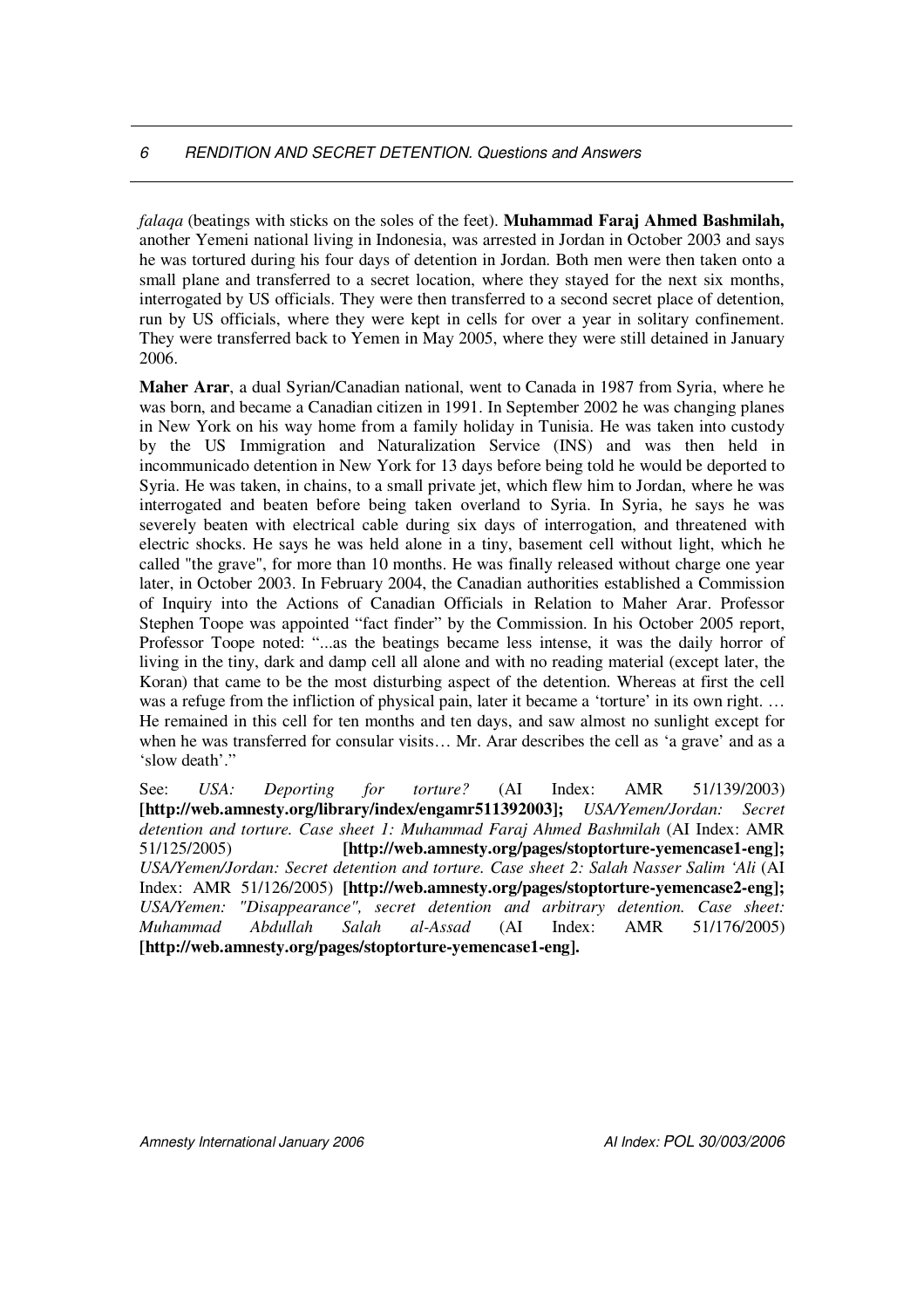*falaqa* (beatings with sticks on the soles of the feet). **Muhammad Faraj Ahmed Bashmilah,** another Yemeni national living in Indonesia, was arrested in Jordan in October 2003 and says he was tortured during his four days of detention in Jordan. Both men were then taken onto a small plane and transferred to a secret location, where they stayed for the next six months, interrogated by US officials. They were then transferred to a second secret place of detention, run by US officials, where they were kept in cells for over a year in solitary confinement. They were transferred back to Yemen in May 2005, where they were still detained in January 2006.

**Maher Arar**, a dual Syrian/Canadian national, went to Canada in 1987 from Syria, where he was born, and became a Canadian citizen in 1991. In September 2002 he was changing planes in New York on his way home from a family holiday in Tunisia. He was taken into custody by the US Immigration and Naturalization Service (INS) and was then held in incommunicado detention in New York for 13 days before being told he would be deported to Syria. He was taken, in chains, to a small private jet, which flew him to Jordan, where he was interrogated and beaten before being taken overland to Syria. In Syria, he says he was severely beaten with electrical cable during six days of interrogation, and threatened with electric shocks. He says he was held alone in a tiny, basement cell without light, which he called "the grave", for more than 10 months. He was finally released without charge one year later, in October 2003. In February 2004, the Canadian authorities established a Commission of Inquiry into the Actions of Canadian Officials in Relation to Maher Arar. Professor Stephen Toope was appointed "fact finder" by the Commission. In his October 2005 report, Professor Toope noted: "...as the beatings became less intense, it was the daily horror of living in the tiny, dark and damp cell all alone and with no reading material (except later, the Koran) that came to be the most disturbing aspect of the detention. Whereas at first the cell was a refuge from the infliction of physical pain, later it became a 'torture' in its own right. ... He remained in this cell for ten months and ten days, and saw almost no sunlight except for when he was transferred for consular visits… Mr. Arar describes the cell as 'a grave' and as a 'slow death'."

See: *USA: Deporting for torture?* (AI Index: AMR 51/139/2003) **[http://web.amnesty.org/library/index/engamr511392003];** *USA/Yemen/Jordan: Secret detention and torture. Case sheet 1: Muhammad Faraj Ahmed Bashmilah* (AI Index: AMR 51/125/2005) **[http://web.amnesty.org/pages/stoptorture-yemencase1-eng];** *USA/Yemen/Jordan: Secret detention and torture. Case sheet 2: Salah Nasser Salim 'Ali* (AI Index: AMR 51/126/2005) **[http://web.amnesty.org/pages/stoptorture-yemencase2-eng];** *USA/Yemen: "Disappearance", secret detention and arbitrary detention. Case sheet: Muhammad Abdullah Salah al-Assad* (AI Index: AMR 51/176/2005) **[http://web.amnesty.org/pages/stoptorture-yemencase1-eng].**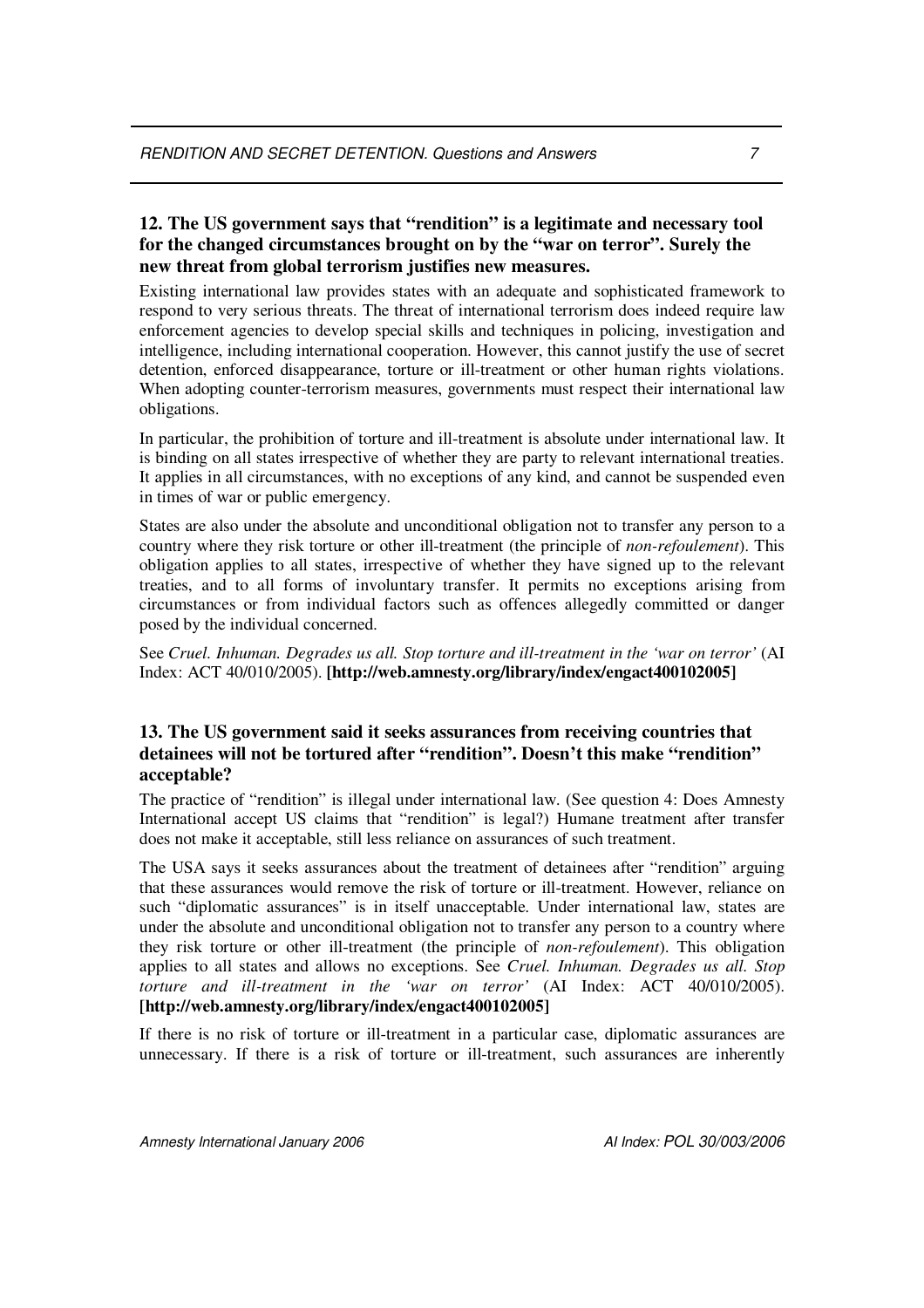# **12. The US government says that "rendition" is a legitimate and necessary tool for the changed circumstances brought on by the "war on terror". Surely the new threat from global terrorism justifies new measures.**

Existing international law provides states with an adequate and sophisticated framework to respond to very serious threats. The threat of international terrorism does indeed require law enforcement agencies to develop special skills and techniques in policing, investigation and intelligence, including international cooperation. However, this cannot justify the use of secret detention, enforced disappearance, torture or ill-treatment or other human rights violations. When adopting counter-terrorism measures, governments must respect their international law obligations.

In particular, the prohibition of torture and ill-treatment is absolute under international law. It is binding on all states irrespective of whether they are party to relevant international treaties. It applies in all circumstances, with no exceptions of any kind, and cannot be suspended even in times of war or public emergency.

States are also under the absolute and unconditional obligation not to transfer any person to a country where they risk torture or other ill-treatment (the principle of *non-refoulement*). This obligation applies to all states, irrespective of whether they have signed up to the relevant treaties, and to all forms of involuntary transfer. It permits no exceptions arising from circumstances or from individual factors such as offences allegedly committed or danger posed by the individual concerned.

See *Cruel. Inhuman. Degrades us all. Stop torture and ill-treatment in the 'war on terror'* (AI Index: ACT 40/010/2005). **[http://web.amnesty.org/library/index/engact400102005]**

#### **13. The US government said it seeks assurances from receiving countries that detainees will not be tortured after "rendition". Doesn't this make "rendition" acceptable?**

The practice of "rendition" is illegal under international law. (See question 4: Does Amnesty International accept US claims that "rendition" is legal?) Humane treatment after transfer does not make it acceptable, still less reliance on assurances of such treatment.

The USA says it seeks assurances about the treatment of detainees after "rendition" arguing that these assurances would remove the risk of torture or ill-treatment. However, reliance on such "diplomatic assurances" is in itself unacceptable. Under international law, states are under the absolute and unconditional obligation not to transfer any person to a country where they risk torture or other ill-treatment (the principle of *non-refoulement*). This obligation applies to all states and allows no exceptions. See *Cruel. Inhuman. Degrades us all. Stop torture and ill-treatment in the 'war on terror'* (AI Index: ACT 40/010/2005). **[http://web.amnesty.org/library/index/engact400102005]**

If there is no risk of torture or ill-treatment in a particular case, diplomatic assurances are unnecessary. If there is a risk of torture or ill-treatment, such assurances are inherently

*Amnesty International January 2006 AI Index: POL 30/003/2006*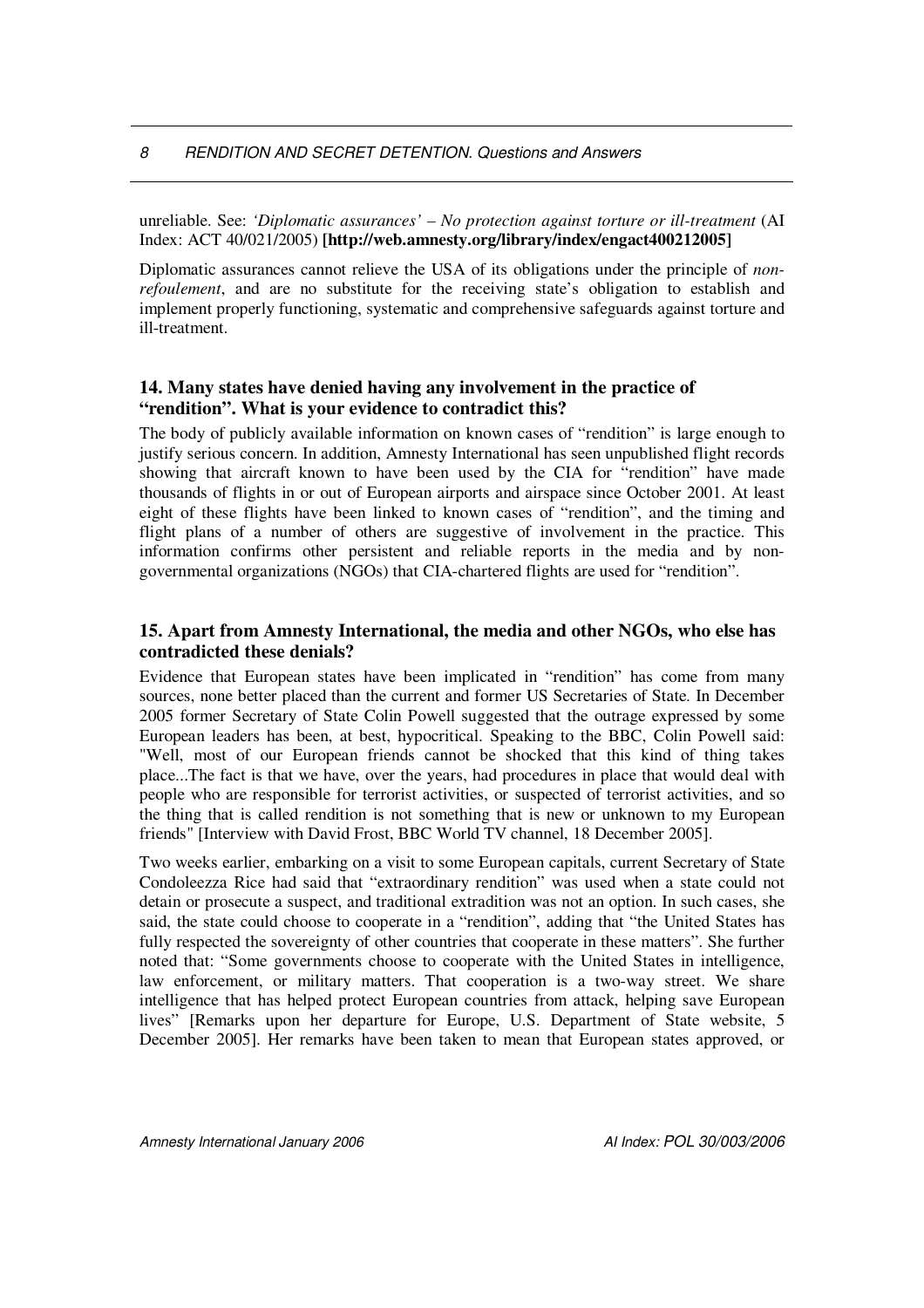unreliable. See: *'Diplomatic assurances' – No protection against torture or ill-treatment* (AI Index: ACT 40/021/2005) **[http://web.amnesty.org/library/index/engact400212005]**

Diplomatic assurances cannot relieve the USA of its obligations under the principle of *nonrefoulement*, and are no substitute for the receiving state's obligation to establish and implement properly functioning, systematic and comprehensive safeguards against torture and ill-treatment.

# **14. Many states have denied having any involvement in the practice of "rendition". What is your evidence to contradict this?**

The body of publicly available information on known cases of "rendition" is large enough to justify serious concern. In addition, Amnesty International has seen unpublished flight records showing that aircraft known to have been used by the CIA for "rendition" have made thousands of flights in or out of European airports and airspace since October 2001. At least eight of these flights have been linked to known cases of "rendition", and the timing and flight plans of a number of others are suggestive of involvement in the practice. This information confirms other persistent and reliable reports in the media and by nongovernmental organizations (NGOs) that CIA-chartered flights are used for "rendition".

#### **15. Apart from Amnesty International, the media and other NGOs, who else has contradicted these denials?**

Evidence that European states have been implicated in "rendition" has come from many sources, none better placed than the current and former US Secretaries of State. In December 2005 former Secretary of State Colin Powell suggested that the outrage expressed by some European leaders has been, at best, hypocritical. Speaking to the BBC, Colin Powell said: "Well, most of our European friends cannot be shocked that this kind of thing takes place...The fact is that we have, over the years, had procedures in place that would deal with people who are responsible for terrorist activities, or suspected of terrorist activities, and so the thing that is called rendition is not something that is new or unknown to my European friends" [Interview with David Frost, BBC World TV channel, 18 December 2005].

Two weeks earlier, embarking on a visit to some European capitals, current Secretary of State Condoleezza Rice had said that "extraordinary rendition" was used when a state could not detain or prosecute a suspect, and traditional extradition was not an option. In such cases, she said, the state could choose to cooperate in a "rendition", adding that "the United States has fully respected the sovereignty of other countries that cooperate in these matters". She further noted that: "Some governments choose to cooperate with the United States in intelligence, law enforcement, or military matters. That cooperation is a two-way street. We share intelligence that has helped protect European countries from attack, helping save European lives" [Remarks upon her departure for Europe, U.S. Department of State website, 5 December 2005]. Her remarks have been taken to mean that European states approved, or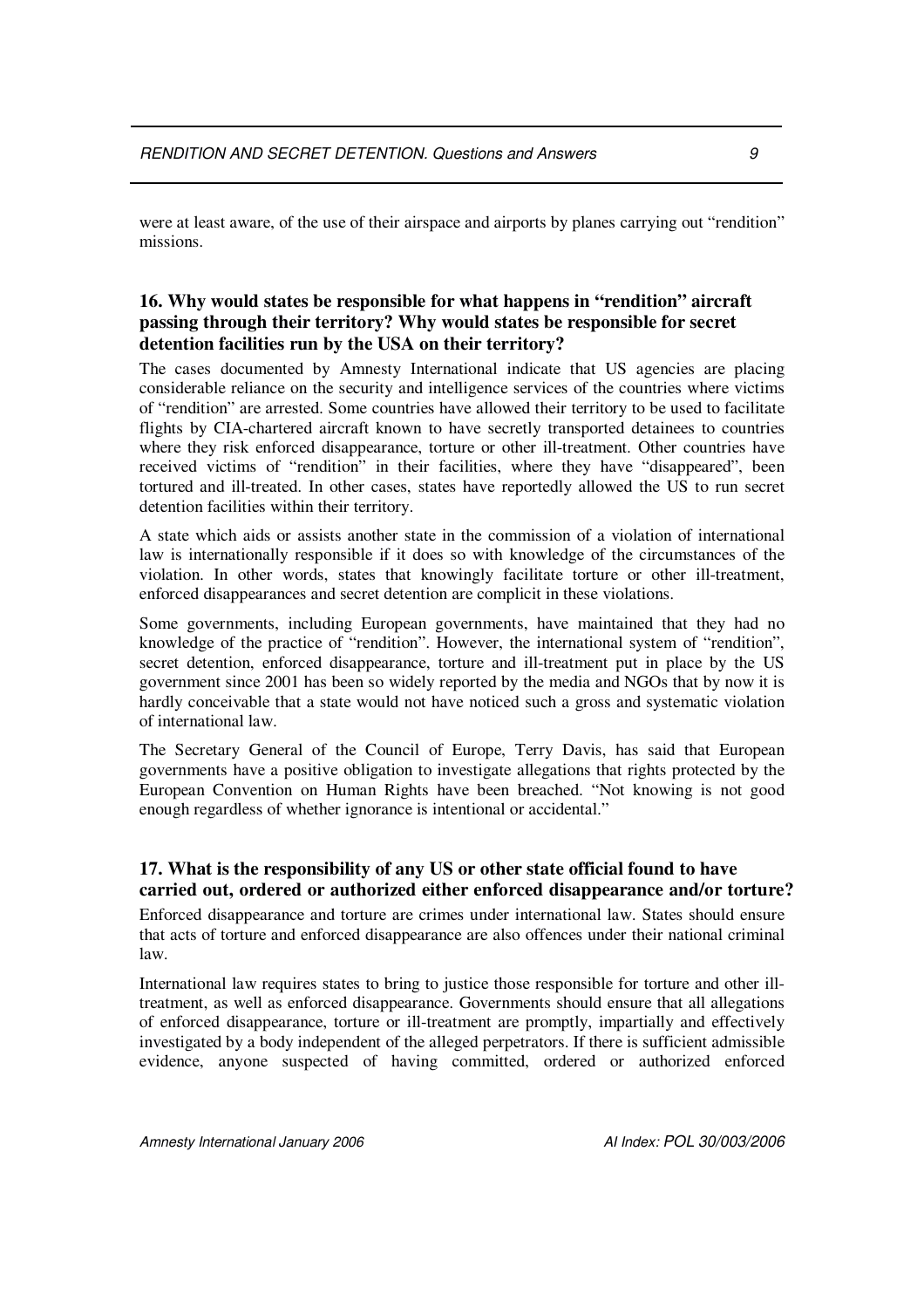were at least aware, of the use of their airspace and airports by planes carrying out "rendition" missions.

# **16. Why would states be responsible for what happens in "rendition" aircraft passing through their territory? Why would states be responsible for secret detention facilities run by the USA on their territory?**

The cases documented by Amnesty International indicate that US agencies are placing considerable reliance on the security and intelligence services of the countries where victims of "rendition" are arrested. Some countries have allowed their territory to be used to facilitate flights by CIA-chartered aircraft known to have secretly transported detainees to countries where they risk enforced disappearance, torture or other ill-treatment. Other countries have received victims of "rendition" in their facilities, where they have "disappeared", been tortured and ill-treated. In other cases, states have reportedly allowed the US to run secret detention facilities within their territory.

A state which aids or assists another state in the commission of a violation of international law is internationally responsible if it does so with knowledge of the circumstances of the violation. In other words, states that knowingly facilitate torture or other ill-treatment, enforced disappearances and secret detention are complicit in these violations.

Some governments, including European governments, have maintained that they had no knowledge of the practice of "rendition". However, the international system of "rendition", secret detention, enforced disappearance, torture and ill-treatment put in place by the US government since 2001 has been so widely reported by the media and NGOs that by now it is hardly conceivable that a state would not have noticed such a gross and systematic violation of international law.

The Secretary General of the Council of Europe, Terry Davis, has said that European governments have a positive obligation to investigate allegations that rights protected by the European Convention on Human Rights have been breached. "Not knowing is not good enough regardless of whether ignorance is intentional or accidental."

# **17. What is the responsibility of any US or other state official found to have carried out, ordered or authorized either enforced disappearance and/or torture?**

Enforced disappearance and torture are crimes under international law. States should ensure that acts of torture and enforced disappearance are also offences under their national criminal law.

International law requires states to bring to justice those responsible for torture and other illtreatment, as well as enforced disappearance. Governments should ensure that all allegations of enforced disappearance, torture or ill-treatment are promptly, impartially and effectively investigated by a body independent of the alleged perpetrators. If there is sufficient admissible evidence, anyone suspected of having committed, ordered or authorized enforced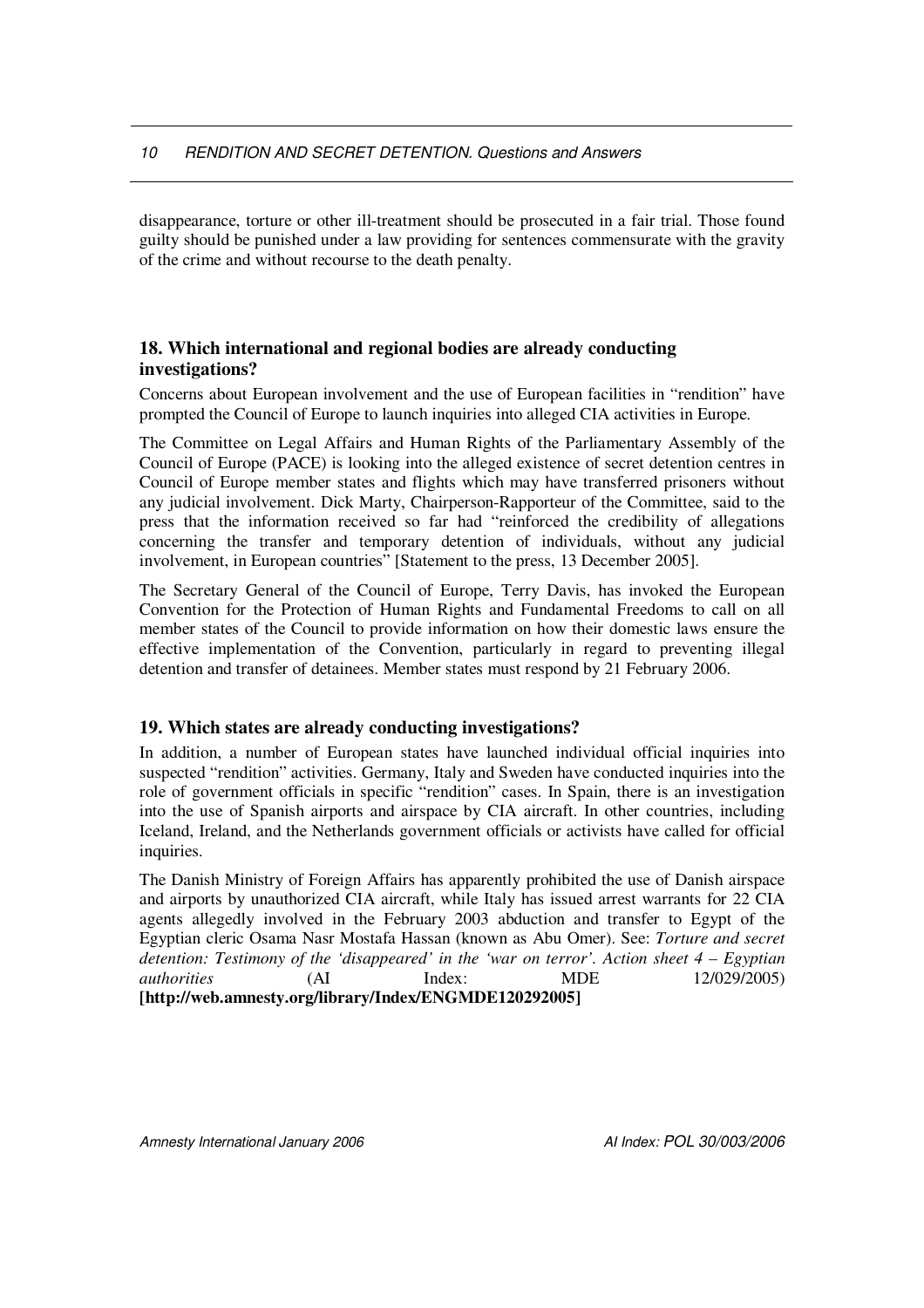disappearance, torture or other ill-treatment should be prosecuted in a fair trial. Those found guilty should be punished under a law providing for sentences commensurate with the gravity of the crime and without recourse to the death penalty.

# **18. Which international and regional bodies are already conducting investigations?**

Concerns about European involvement and the use of European facilities in "rendition" have prompted the Council of Europe to launch inquiries into alleged CIA activities in Europe.

The Committee on Legal Affairs and Human Rights of the Parliamentary Assembly of the Council of Europe (PACE) is looking into the alleged existence of secret detention centres in Council of Europe member states and flights which may have transferred prisoners without any judicial involvement. Dick Marty, Chairperson-Rapporteur of the Committee, said to the press that the information received so far had "reinforced the credibility of allegations concerning the transfer and temporary detention of individuals, without any judicial involvement, in European countries" [Statement to the press, 13 December 2005].

The Secretary General of the Council of Europe, Terry Davis, has invoked the European Convention for the Protection of Human Rights and Fundamental Freedoms to call on all member states of the Council to provide information on how their domestic laws ensure the effective implementation of the Convention, particularly in regard to preventing illegal detention and transfer of detainees. Member states must respond by 21 February 2006.

# **19. Which states are already conducting investigations?**

In addition, a number of European states have launched individual official inquiries into suspected "rendition" activities. Germany, Italy and Sweden have conducted inquiries into the role of government officials in specific "rendition" cases. In Spain, there is an investigation into the use of Spanish airports and airspace by CIA aircraft. In other countries, including Iceland, Ireland, and the Netherlands government officials or activists have called for official inquiries.

The Danish Ministry of Foreign Affairs has apparently prohibited the use of Danish airspace and airports by unauthorized CIA aircraft, while Italy has issued arrest warrants for 22 CIA agents allegedly involved in the February 2003 abduction and transfer to Egypt of the Egyptian cleric Osama Nasr Mostafa Hassan (known as Abu Omer). See: *Torture and secret detention: Testimony of the 'disappeared' in the 'war on terror'. Action sheet 4 – Egyptian authorities* (AI Index: MDE 12/029/2005) **[http://web.amnesty.org/library/Index/ENGMDE120292005]**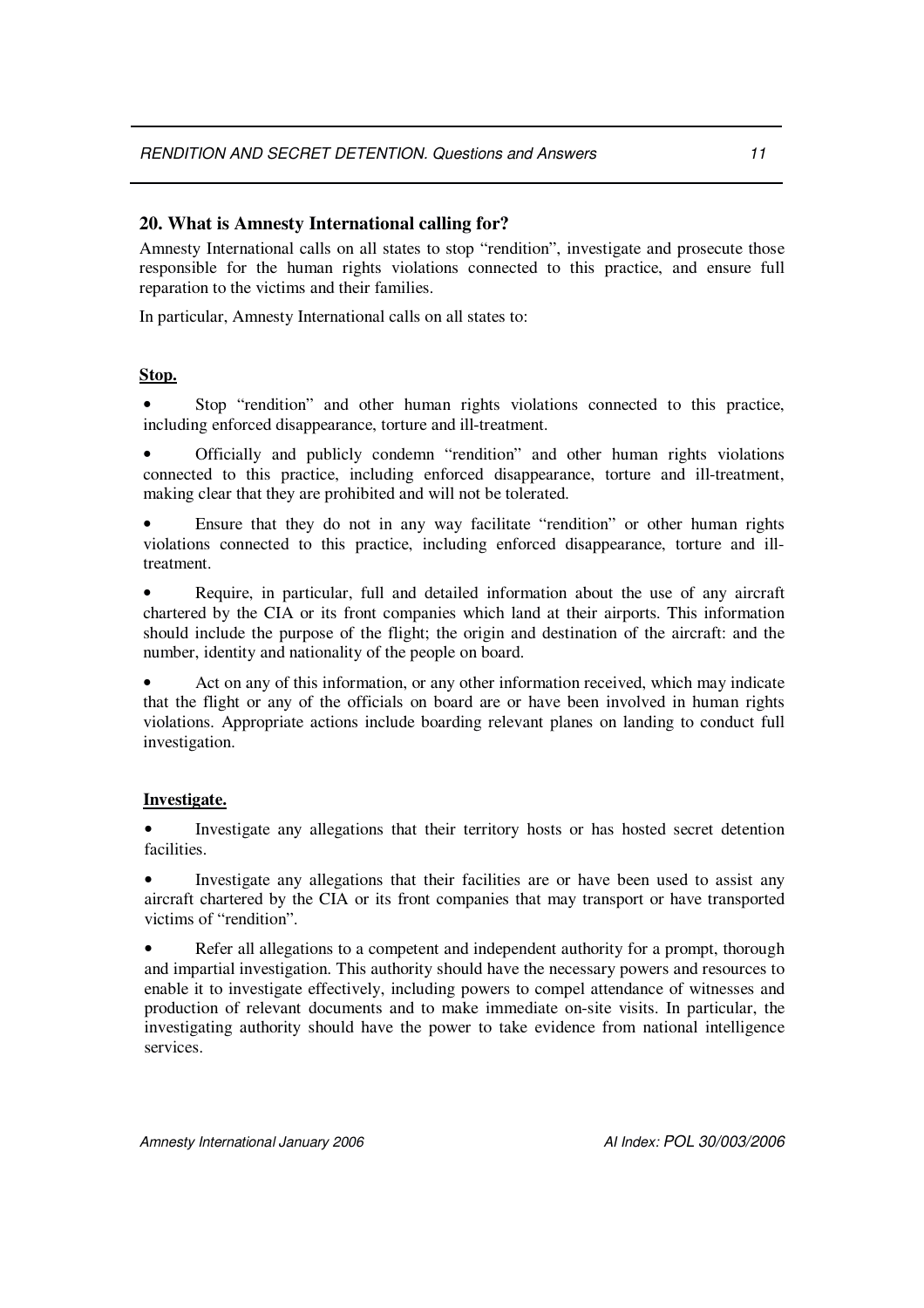# **20. What is Amnesty International calling for?**

Amnesty International calls on all states to stop "rendition", investigate and prosecute those responsible for the human rights violations connected to this practice, and ensure full reparation to the victims and their families.

In particular, Amnesty International calls on all states to:

#### **Stop.**

• Stop "rendition" and other human rights violations connected to this practice, including enforced disappearance, torture and ill-treatment.

• Officially and publicly condemn "rendition" and other human rights violations connected to this practice, including enforced disappearance, torture and ill-treatment, making clear that they are prohibited and will not be tolerated.

• Ensure that they do not in any way facilitate "rendition" or other human rights violations connected to this practice, including enforced disappearance, torture and illtreatment.

• Require, in particular, full and detailed information about the use of any aircraft chartered by the CIA or its front companies which land at their airports. This information should include the purpose of the flight; the origin and destination of the aircraft: and the number, identity and nationality of the people on board.

Act on any of this information, or any other information received, which may indicate that the flight or any of the officials on board are or have been involved in human rights violations. Appropriate actions include boarding relevant planes on landing to conduct full investigation.

#### **Investigate.**

• Investigate any allegations that their territory hosts or has hosted secret detention facilities.

• Investigate any allegations that their facilities are or have been used to assist any aircraft chartered by the CIA or its front companies that may transport or have transported victims of "rendition".

Refer all allegations to a competent and independent authority for a prompt, thorough and impartial investigation. This authority should have the necessary powers and resources to enable it to investigate effectively, including powers to compel attendance of witnesses and production of relevant documents and to make immediate on-site visits. In particular, the investigating authority should have the power to take evidence from national intelligence services.